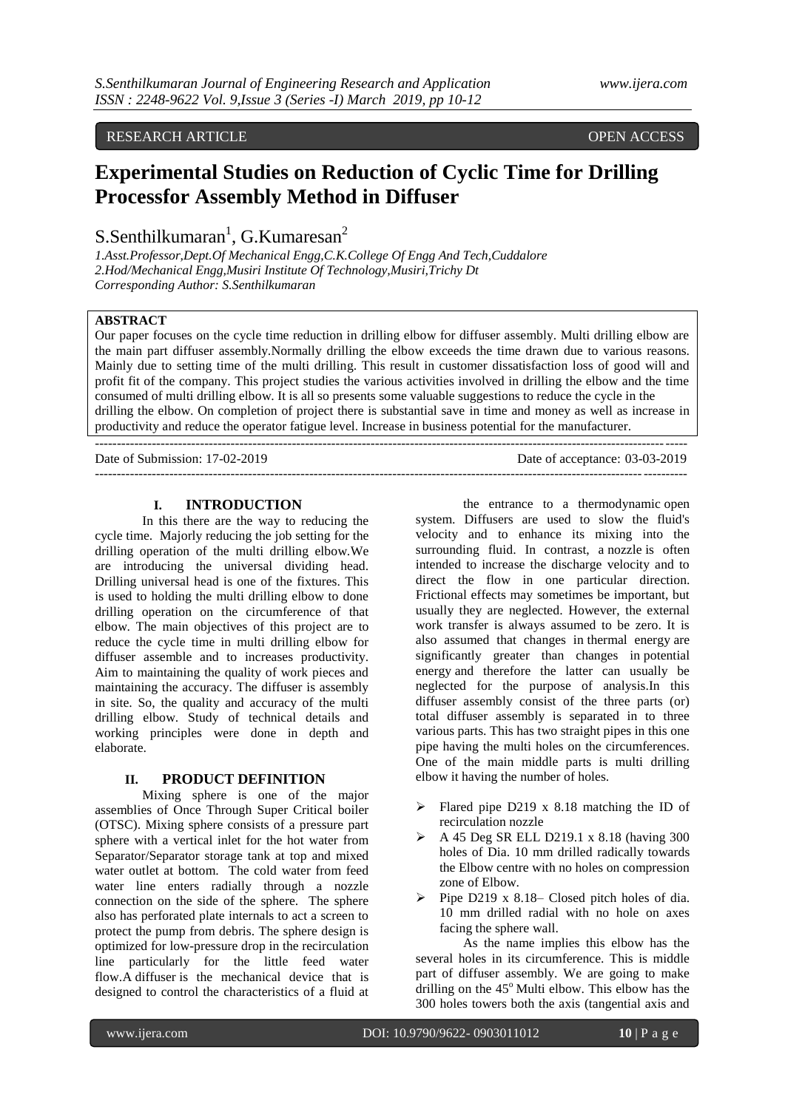# RESEARCH ARTICLE **CONSERVERS** OPEN ACCESS **OPEN ACCESS**

# **Experimental Studies on Reduction of Cyclic Time for Drilling Processfor Assembly Method in Diffuser**

 $S.S$ enthilkumaran<sup>1</sup>, G.Kumaresan<sup>2</sup>

*1.Asst.Professor,Dept.Of Mechanical Engg,C.K.College Of Engg And Tech,Cuddalore 2.Hod/Mechanical Engg,Musiri Institute Of Technology,Musiri,Trichy Dt Corresponding Author: S.Senthilkumaran*

---------------------------------------------------------------------------------------------------------------------------------------

## **ABSTRACT**

Our paper focuses on the cycle time reduction in drilling elbow for diffuser assembly. Multi drilling elbow are the main part diffuser assembly.Normally drilling the elbow exceeds the time drawn due to various reasons. Mainly due to setting time of the multi drilling. This result in customer dissatisfaction loss of good will and profit fit of the company. This project studies the various activities involved in drilling the elbow and the time consumed of multi drilling elbow. It is all so presents some valuable suggestions to reduce the cycle in the drilling the elbow. On completion of project there is substantial save in time and money as well as increase in productivity and reduce the operator fatigue level. Increase in business potential for the manufacturer.

Date of Submission: 17-02-2019 Date of acceptance: 03-03-2019 ---------------------------------------------------------------------------------------------------------------------------------------

## **I. INTRODUCTION**

In this there are the way to reducing the cycle time. Majorly reducing the job setting for the drilling operation of the multi drilling elbow.We are introducing the universal dividing head. Drilling universal head is one of the fixtures. This is used to holding the multi drilling elbow to done drilling operation on the circumference of that elbow. The main objectives of this project are to reduce the cycle time in multi drilling elbow for diffuser assemble and to increases productivity. Aim to maintaining the quality of work pieces and maintaining the accuracy. The diffuser is assembly in site. So, the quality and accuracy of the multi drilling elbow. Study of technical details and working principles were done in depth and elaborate.

#### **II. PRODUCT DEFINITION**

Mixing sphere is one of the major assemblies of Once Through Super Critical boiler (OTSC). Mixing sphere consists of a pressure part sphere with a vertical inlet for the hot water from Separator/Separator storage tank at top and mixed water outlet at bottom. The cold water from feed water line enters radially through a nozzle connection on the side of the sphere. The sphere also has perforated plate internals to act a screen to protect the pump from debris. The sphere design is optimized for low-pressure drop in the recirculation line particularly for the little feed water flow.A diffuser is the mechanical device that is designed to control the characteristics of a fluid at

the entrance to a thermodynamic open system. Diffusers are used to slow the fluid's velocity and to enhance its mixing into the surrounding fluid. In contrast, a nozzle is often intended to increase the discharge velocity and to direct the flow in one particular direction. Frictional effects may sometimes be important, but usually they are neglected. However, the external work transfer is always assumed to be zero. It is also assumed that changes in thermal energy are significantly greater than changes in potential energy and therefore the latter can usually be neglected for the purpose of analysis.In this diffuser assembly consist of the three parts (or) total diffuser assembly is separated in to three various parts. This has two straight pipes in this one pipe having the multi holes on the circumferences. One of the main middle parts is multi drilling elbow it having the number of holes.

- $\triangleright$  Flared pipe D219 x 8.18 matching the ID of recirculation nozzle
- $\triangleright$  A 45 Deg SR ELL D219.1 x 8.18 (having 300) holes of Dia. 10 mm drilled radically towards the Elbow centre with no holes on compression zone of Elbow.
- Pipe D219 x 8.18– Closed pitch holes of dia. 10 mm drilled radial with no hole on axes facing the sphere wall.

As the name implies this elbow has the several holes in its circumference. This is middle part of diffuser assembly. We are going to make drilling on the  $45^{\circ}$  Multi elbow. This elbow has the 300 holes towers both the axis (tangential axis and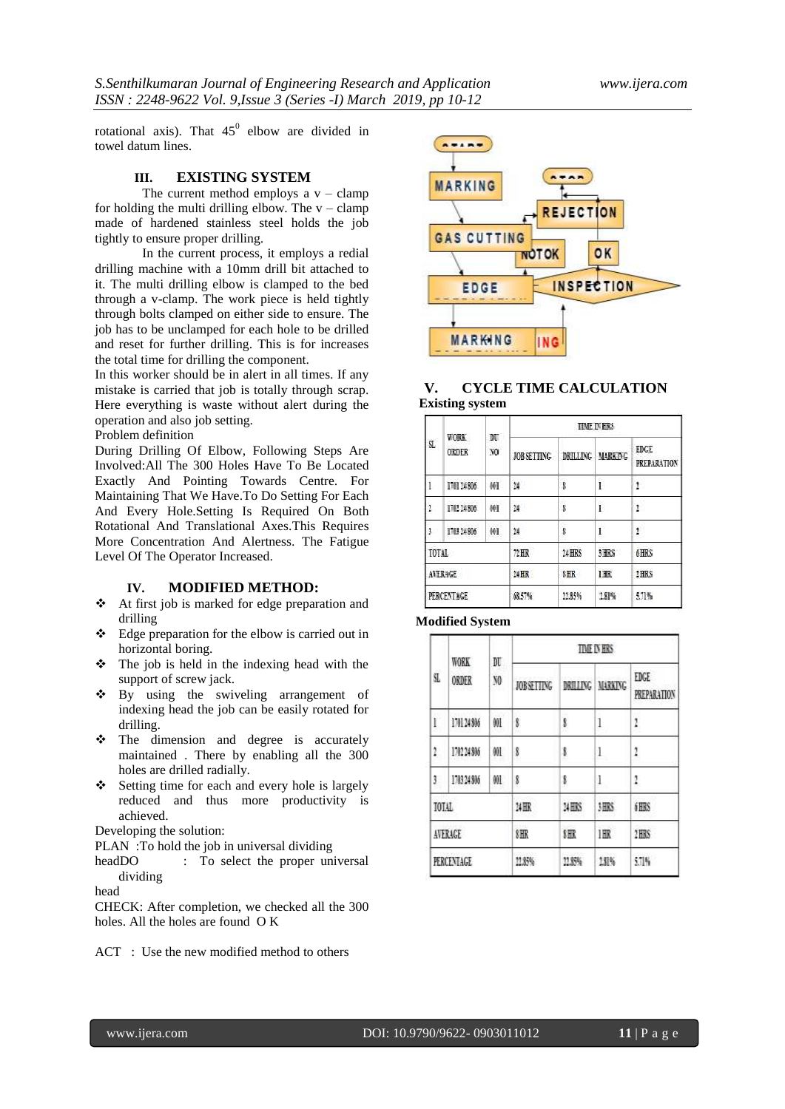rotational axis). That  $45^{\circ}$  elbow are divided in towel datum lines.

## **III. EXISTING SYSTEM**

The current method employs a  $v -$  clamp for holding the multi drilling elbow. The  $v -$ clamp made of hardened stainless steel holds the job tightly to ensure proper drilling.

In the current process, it employs a redial drilling machine with a 10mm drill bit attached to it. The multi drilling elbow is clamped to the bed through a v-clamp. The work piece is held tightly through bolts clamped on either side to ensure. The job has to be unclamped for each hole to be drilled and reset for further drilling. This is for increases the total time for drilling the component.

In this worker should be in alert in all times. If any mistake is carried that job is totally through scrap. Here everything is waste without alert during the operation and also job setting.

Problem definition

During Drilling Of Elbow, Following Steps Are Involved:All The 300 Holes Have To Be Located Exactly And Pointing Towards Centre. For Maintaining That We Have.To Do Setting For Each And Every Hole.Setting Is Required On Both Rotational And Translational Axes.This Requires More Concentration And Alertness. The Fatigue Level Of The Operator Increased.

#### **IV. MODIFIED METHOD:**

- At first job is marked for edge preparation and drilling
- $\triangleleft$  Edge preparation for the elbow is carried out in horizontal boring.
- The job is held in the indexing head with the support of screw jack.
- By using the swiveling arrangement of indexing head the job can be easily rotated for drilling.
- $\div$  The dimension and degree is accurately maintained . There by enabling all the 300 holes are drilled radially.
- Setting time for each and every hole is largely reduced and thus more productivity is achieved.

Developing the solution:

PLAN : To hold the job in universal dividing

headDO : To select the proper universal dividing

head

CHECK: After completion, we checked all the 300 holes. All the holes are found O K

ACT : Use the new modified method to others



## **V. CYCLE TIME CALCULATION Existing system**

| SL.        | WORK<br>ORDER | N<br>NO <sub>1</sub> | <b>TEME IN HRS</b> |          |                |                                   |  |
|------------|---------------|----------------------|--------------------|----------|----------------|-----------------------------------|--|
|            |               |                      | JOB SETTING        | DRILLING | <b>MARKING</b> | <b>FBGE</b><br><b>PREPARATION</b> |  |
| ī          | 170174806     | WI                   | 34                 | ġ        | $\mathbf{I}$   | 1.                                |  |
| 1          | 170214806     | WI                   | 34                 | ŝ        | $\bar{1}$      | 1.                                |  |
| 3.         | 178324806     | WI                   | 24                 | ġ        | Ï              | 1                                 |  |
| TOTAL      |               | 72 HK                | 24 HRS             | 3 HRS    | 6 HRS          |                                   |  |
| AVERAGE    |               | ME.                  | \$H                | 1HR      | 1 HRS          |                                   |  |
| PERCENTAGE |               | 68.5%                | 11.85%             | 1.81%    | 5.71%          |                                   |  |

## **Modified System**

| \$         | WORK<br><b>ORDER</b> | DU<br>NO.  | <b>TIME IN HRS</b> |             |                |                            |  |
|------------|----------------------|------------|--------------------|-------------|----------------|----------------------------|--|
|            |                      |            | <b>JOBSETTING</b>  | DRILLING    | <b>MARKING</b> | EDGE<br><b>PREPARATION</b> |  |
| l          | 170124306            | WI         | 8                  | ġ           | 1              | ı                          |  |
| 2          | 13274366             | OOL        | 8                  | 8           | 1              | 1                          |  |
| ĵ          | 13834366             | 901        | 8                  | 8           | 1              | 1                          |  |
| TOTAL      |                      | <b>MHR</b> | 34HKS              | <b>JHKS</b> | <b>iHRS</b>    |                            |  |
| AVERAGE    |                      | 8HR        | 8HR                | 1 HR        | 2HRS           |                            |  |
| PERCENTAGE |                      | 11,87%     | 11,85%             | 1.11%       | 5.1%           |                            |  |